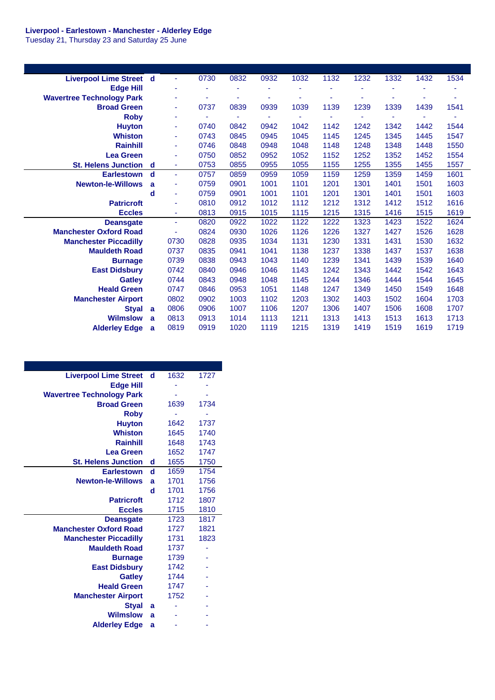## **Liverpool - Earlestown - Manchester - Alderley Edge**

Tuesday 21, Thursday 23 and Saturday 25 June

| <b>Liverpool Lime Street d</b>   |   | ٠              | 0730 | 0832 | 0932 | 1032 | 1132 | 1232 | 1332 | 1432                     | 1534 |
|----------------------------------|---|----------------|------|------|------|------|------|------|------|--------------------------|------|
| <b>Edge Hill</b>                 |   | ٠              | ٠    |      | ۰    |      |      | ٠    |      |                          |      |
| <b>Wavertree Technology Park</b> |   | ۰              | ٠    |      | ٠    |      |      | ۰    |      |                          |      |
| <b>Broad Green</b>               |   | $\blacksquare$ | 0737 | 0839 | 0939 | 1039 | 1139 | 1239 | 1339 | 1439                     | 1541 |
| <b>Roby</b>                      |   | Ξ              | ٠    |      | Ξ    |      |      | ٠    |      | $\overline{\phantom{a}}$ |      |
| <b>Huyton</b>                    |   | ٠              | 0740 | 0842 | 0942 | 1042 | 1142 | 1242 | 1342 | 1442                     | 1544 |
| <b>Whiston</b>                   |   | $\blacksquare$ | 0743 | 0845 | 0945 | 1045 | 1145 | 1245 | 1345 | 1445                     | 1547 |
| <b>Rainhill</b>                  |   | $\blacksquare$ | 0746 | 0848 | 0948 | 1048 | 1148 | 1248 | 1348 | 1448                     | 1550 |
| <b>Lea Green</b>                 |   | $\blacksquare$ | 0750 | 0852 | 0952 | 1052 | 1152 | 1252 | 1352 | 1452                     | 1554 |
| <b>St. Helens Junction</b>       | d | $\blacksquare$ | 0753 | 0855 | 0955 | 1055 | 1155 | 1255 | 1355 | 1455                     | 1557 |
| <b>Earlestown</b>                | d | $\blacksquare$ | 0757 | 0859 | 0959 | 1059 | 1159 | 1259 | 1359 | 1459                     | 1601 |
| <b>Newton-le-Willows</b>         | a | $\blacksquare$ | 0759 | 0901 | 1001 | 1101 | 1201 | 1301 | 1401 | 1501                     | 1603 |
|                                  | d | ٠              | 0759 | 0901 | 1001 | 1101 | 1201 | 1301 | 1401 | 1501                     | 1603 |
| <b>Patricroft</b>                |   | ÷,             | 0810 | 0912 | 1012 | 1112 | 1212 | 1312 | 1412 | 1512                     | 1616 |
| <b>Eccles</b>                    |   | $\blacksquare$ | 0813 | 0915 | 1015 | 1115 | 1215 | 1315 | 1416 | 1515                     | 1619 |
| <b>Deansgate</b>                 |   | $\blacksquare$ | 0820 | 0922 | 1022 | 1122 | 1222 | 1323 | 1423 | 1522                     | 1624 |
| <b>Manchester Oxford Road</b>    |   | Ξ              | 0824 | 0930 | 1026 | 1126 | 1226 | 1327 | 1427 | 1526                     | 1628 |
| <b>Manchester Piccadilly</b>     |   | 0730           | 0828 | 0935 | 1034 | 1131 | 1230 | 1331 | 1431 | 1530                     | 1632 |
| <b>Mauldeth Road</b>             |   | 0737           | 0835 | 0941 | 1041 | 1138 | 1237 | 1338 | 1437 | 1537                     | 1638 |
| <b>Burnage</b>                   |   | 0739           | 0838 | 0943 | 1043 | 1140 | 1239 | 1341 | 1439 | 1539                     | 1640 |
| <b>East Didsbury</b>             |   | 0742           | 0840 | 0946 | 1046 | 1143 | 1242 | 1343 | 1442 | 1542                     | 1643 |
| <b>Gatley</b>                    |   | 0744           | 0843 | 0948 | 1048 | 1145 | 1244 | 1346 | 1444 | 1544                     | 1645 |
| <b>Heald Green</b>               |   | 0747           | 0846 | 0953 | 1051 | 1148 | 1247 | 1349 | 1450 | 1549                     | 1648 |
| <b>Manchester Airport</b>        |   | 0802           | 0902 | 1003 | 1102 | 1203 | 1302 | 1403 | 1502 | 1604                     | 1703 |
| <b>Styal</b>                     | a | 0806           | 0906 | 1007 | 1106 | 1207 | 1306 | 1407 | 1506 | 1608                     | 1707 |
| <b>Wilmslow</b>                  | a | 0813           | 0913 | 1014 | 1113 | 1211 | 1313 | 1413 | 1513 | 1613                     | 1713 |
| <b>Alderley Edge</b>             | a | 0819           | 0919 | 1020 | 1119 | 1215 | 1319 | 1419 | 1519 | 1619                     | 1719 |

| <b>Liverpool Lime Street</b><br>1727<br>1632<br>- d<br><b>Edge Hill</b><br><b>Wavertree Technology Park</b><br>1734<br><b>Broad Green</b><br>1639<br><b>Roby</b><br>1737<br><b>Huyton</b><br>1642<br><b>Whiston</b><br>1645<br>1740<br><b>Rainhill</b><br>1648<br>1743<br><b>Lea Green</b><br>1652<br>1747<br>1655<br>1750<br><b>St. Helens Junction</b><br>d<br>d<br>1659<br>1754<br><b>Earlestown</b><br><b>Newton-le-Willows</b><br>1756<br>1701<br>a<br>d<br>1701<br>1756<br>1807<br>1712<br><b>Patricroft</b><br>1715<br>1810<br><b>Eccles</b><br>1723<br>1817<br><b>Deansgate</b><br>1821<br><b>Manchester Oxford Road</b><br>1727<br>1823<br>1731<br><b>Manchester Piccadilly</b><br><b>Mauldeth Road</b><br>1737<br>1739<br><b>Burnage</b><br>1742<br><b>East Didsbury</b><br>1744<br><b>Gatley</b><br><b>Heald Green</b><br>1747<br>1752<br><b>Manchester Airport</b><br><b>Styal</b><br>a<br><b>Wilmslow</b><br>a<br><b>Alderley Edge</b><br>a |  |  |
|----------------------------------------------------------------------------------------------------------------------------------------------------------------------------------------------------------------------------------------------------------------------------------------------------------------------------------------------------------------------------------------------------------------------------------------------------------------------------------------------------------------------------------------------------------------------------------------------------------------------------------------------------------------------------------------------------------------------------------------------------------------------------------------------------------------------------------------------------------------------------------------------------------------------------------------------------------|--|--|
|                                                                                                                                                                                                                                                                                                                                                                                                                                                                                                                                                                                                                                                                                                                                                                                                                                                                                                                                                          |  |  |
|                                                                                                                                                                                                                                                                                                                                                                                                                                                                                                                                                                                                                                                                                                                                                                                                                                                                                                                                                          |  |  |
|                                                                                                                                                                                                                                                                                                                                                                                                                                                                                                                                                                                                                                                                                                                                                                                                                                                                                                                                                          |  |  |
|                                                                                                                                                                                                                                                                                                                                                                                                                                                                                                                                                                                                                                                                                                                                                                                                                                                                                                                                                          |  |  |
|                                                                                                                                                                                                                                                                                                                                                                                                                                                                                                                                                                                                                                                                                                                                                                                                                                                                                                                                                          |  |  |
|                                                                                                                                                                                                                                                                                                                                                                                                                                                                                                                                                                                                                                                                                                                                                                                                                                                                                                                                                          |  |  |
|                                                                                                                                                                                                                                                                                                                                                                                                                                                                                                                                                                                                                                                                                                                                                                                                                                                                                                                                                          |  |  |
|                                                                                                                                                                                                                                                                                                                                                                                                                                                                                                                                                                                                                                                                                                                                                                                                                                                                                                                                                          |  |  |
|                                                                                                                                                                                                                                                                                                                                                                                                                                                                                                                                                                                                                                                                                                                                                                                                                                                                                                                                                          |  |  |
|                                                                                                                                                                                                                                                                                                                                                                                                                                                                                                                                                                                                                                                                                                                                                                                                                                                                                                                                                          |  |  |
|                                                                                                                                                                                                                                                                                                                                                                                                                                                                                                                                                                                                                                                                                                                                                                                                                                                                                                                                                          |  |  |
|                                                                                                                                                                                                                                                                                                                                                                                                                                                                                                                                                                                                                                                                                                                                                                                                                                                                                                                                                          |  |  |
|                                                                                                                                                                                                                                                                                                                                                                                                                                                                                                                                                                                                                                                                                                                                                                                                                                                                                                                                                          |  |  |
|                                                                                                                                                                                                                                                                                                                                                                                                                                                                                                                                                                                                                                                                                                                                                                                                                                                                                                                                                          |  |  |
|                                                                                                                                                                                                                                                                                                                                                                                                                                                                                                                                                                                                                                                                                                                                                                                                                                                                                                                                                          |  |  |
|                                                                                                                                                                                                                                                                                                                                                                                                                                                                                                                                                                                                                                                                                                                                                                                                                                                                                                                                                          |  |  |
|                                                                                                                                                                                                                                                                                                                                                                                                                                                                                                                                                                                                                                                                                                                                                                                                                                                                                                                                                          |  |  |
|                                                                                                                                                                                                                                                                                                                                                                                                                                                                                                                                                                                                                                                                                                                                                                                                                                                                                                                                                          |  |  |
|                                                                                                                                                                                                                                                                                                                                                                                                                                                                                                                                                                                                                                                                                                                                                                                                                                                                                                                                                          |  |  |
|                                                                                                                                                                                                                                                                                                                                                                                                                                                                                                                                                                                                                                                                                                                                                                                                                                                                                                                                                          |  |  |
|                                                                                                                                                                                                                                                                                                                                                                                                                                                                                                                                                                                                                                                                                                                                                                                                                                                                                                                                                          |  |  |
|                                                                                                                                                                                                                                                                                                                                                                                                                                                                                                                                                                                                                                                                                                                                                                                                                                                                                                                                                          |  |  |
|                                                                                                                                                                                                                                                                                                                                                                                                                                                                                                                                                                                                                                                                                                                                                                                                                                                                                                                                                          |  |  |
|                                                                                                                                                                                                                                                                                                                                                                                                                                                                                                                                                                                                                                                                                                                                                                                                                                                                                                                                                          |  |  |
|                                                                                                                                                                                                                                                                                                                                                                                                                                                                                                                                                                                                                                                                                                                                                                                                                                                                                                                                                          |  |  |
|                                                                                                                                                                                                                                                                                                                                                                                                                                                                                                                                                                                                                                                                                                                                                                                                                                                                                                                                                          |  |  |
|                                                                                                                                                                                                                                                                                                                                                                                                                                                                                                                                                                                                                                                                                                                                                                                                                                                                                                                                                          |  |  |